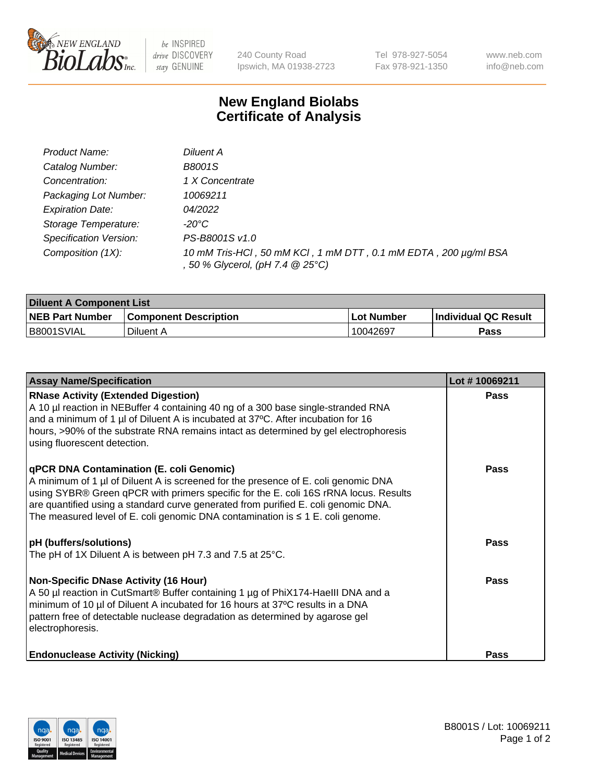

 $be$  INSPIRED drive DISCOVERY stay GENUINE

240 County Road Ipswich, MA 01938-2723 Tel 978-927-5054 Fax 978-921-1350 www.neb.com info@neb.com

## **New England Biolabs Certificate of Analysis**

| Product Name:           | Diluent A                                                                                           |
|-------------------------|-----------------------------------------------------------------------------------------------------|
| Catalog Number:         | B8001S                                                                                              |
| Concentration:          | 1 X Concentrate                                                                                     |
| Packaging Lot Number:   | 10069211                                                                                            |
| <b>Expiration Date:</b> | 04/2022                                                                                             |
| Storage Temperature:    | -20°C                                                                                               |
| Specification Version:  | PS-B8001S v1.0                                                                                      |
| Composition (1X):       | 10 mM Tris-HCl, 50 mM KCl, 1 mM DTT, 0.1 mM EDTA, 200 µg/ml BSA<br>, 50 % Glycerol, (pH 7.4 @ 25°C) |

| <b>Diluent A Component List</b> |                              |            |                      |  |
|---------------------------------|------------------------------|------------|----------------------|--|
| <b>NEB Part Number</b>          | <b>Component Description</b> | Lot Number | Individual QC Result |  |
| B8001SVIAL                      | Diluent A                    | 10042697   | Pass                 |  |

| <b>Assay Name/Specification</b>                                                                                                                                                                                                                                                                                                                                                                            | Lot #10069211 |
|------------------------------------------------------------------------------------------------------------------------------------------------------------------------------------------------------------------------------------------------------------------------------------------------------------------------------------------------------------------------------------------------------------|---------------|
| <b>RNase Activity (Extended Digestion)</b><br>A 10 µl reaction in NEBuffer 4 containing 40 ng of a 300 base single-stranded RNA<br>and a minimum of 1 µl of Diluent A is incubated at 37°C. After incubation for 16<br>hours, >90% of the substrate RNA remains intact as determined by gel electrophoresis<br>using fluorescent detection.                                                                | <b>Pass</b>   |
| <b>qPCR DNA Contamination (E. coli Genomic)</b><br>A minimum of 1 µl of Diluent A is screened for the presence of E. coli genomic DNA<br>using SYBR® Green qPCR with primers specific for the E. coli 16S rRNA locus. Results<br>are quantified using a standard curve generated from purified E. coli genomic DNA.<br>The measured level of E. coli genomic DNA contamination is $\leq 1$ E. coli genome. | <b>Pass</b>   |
| <b>pH</b> (buffers/solutions)<br>The pH of 1X Diluent A is between pH 7.3 and 7.5 at 25°C.                                                                                                                                                                                                                                                                                                                 | Pass          |
| <b>Non-Specific DNase Activity (16 Hour)</b><br>A 50 µl reaction in CutSmart® Buffer containing 1 µg of PhiX174-HaellI DNA and a<br>minimum of 10 µl of Diluent A incubated for 16 hours at 37°C results in a DNA<br>pattern free of detectable nuclease degradation as determined by agarose gel<br>electrophoresis.                                                                                      | <b>Pass</b>   |
| <b>Endonuclease Activity (Nicking)</b>                                                                                                                                                                                                                                                                                                                                                                     | <b>Pass</b>   |